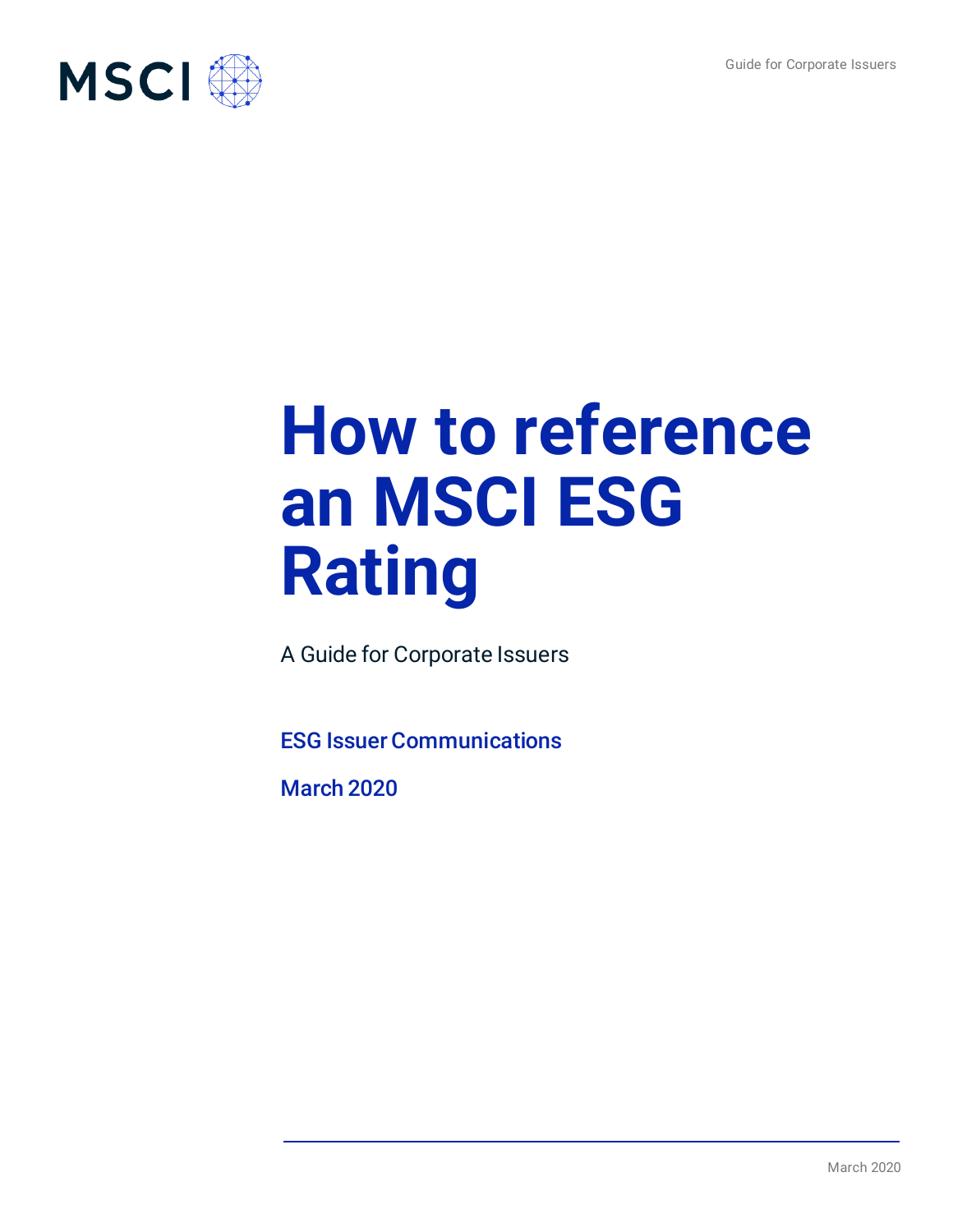

# **How to reference an MSCI ESG Rating**

A Guide for Corporate Issuers

ESG Issuer Communications

March 2020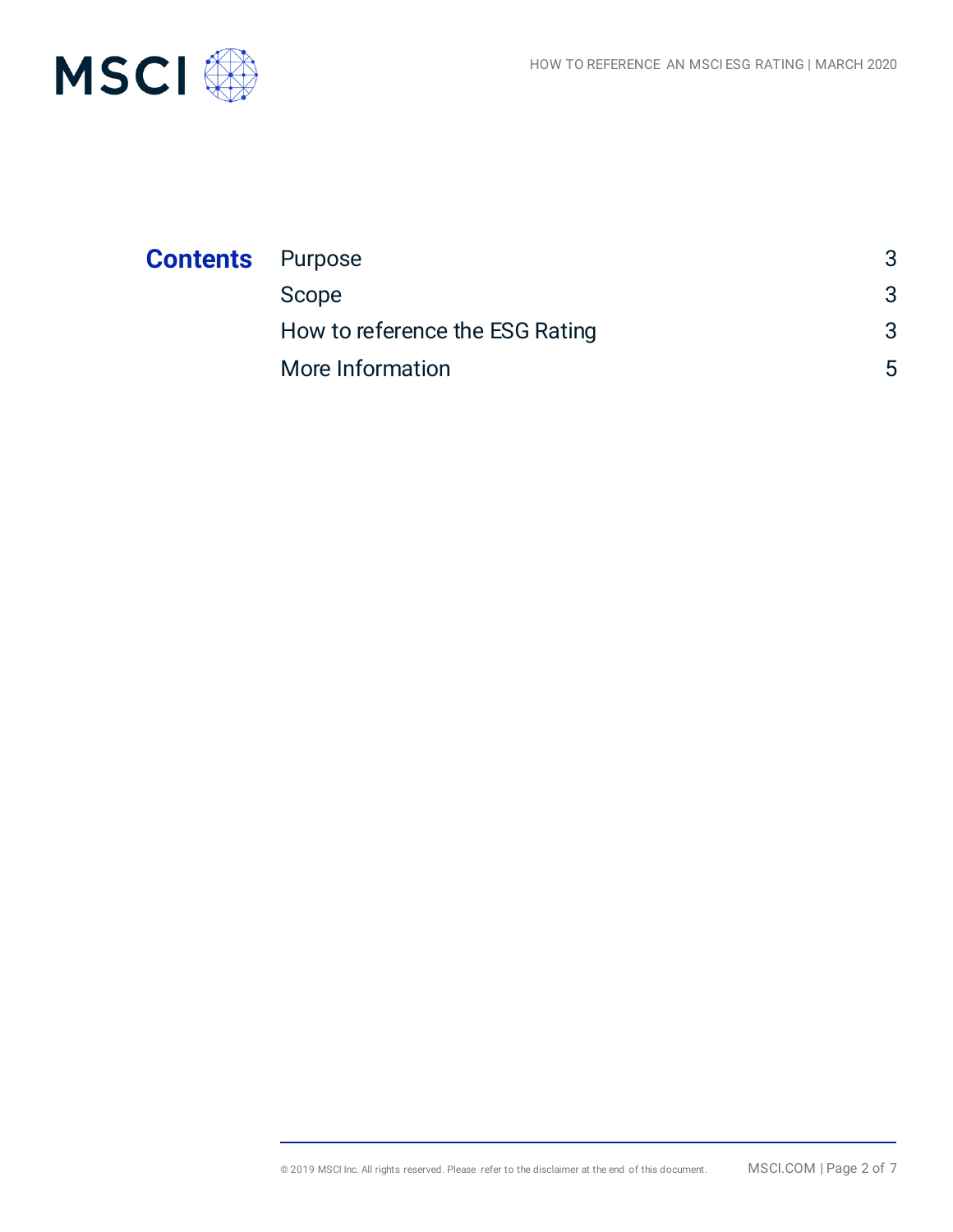

| <b>Contents</b> Purpose |                                 |   |
|-------------------------|---------------------------------|---|
|                         | Scope                           | 3 |
|                         | How to reference the ESG Rating | 3 |
|                         | More Information                | 5 |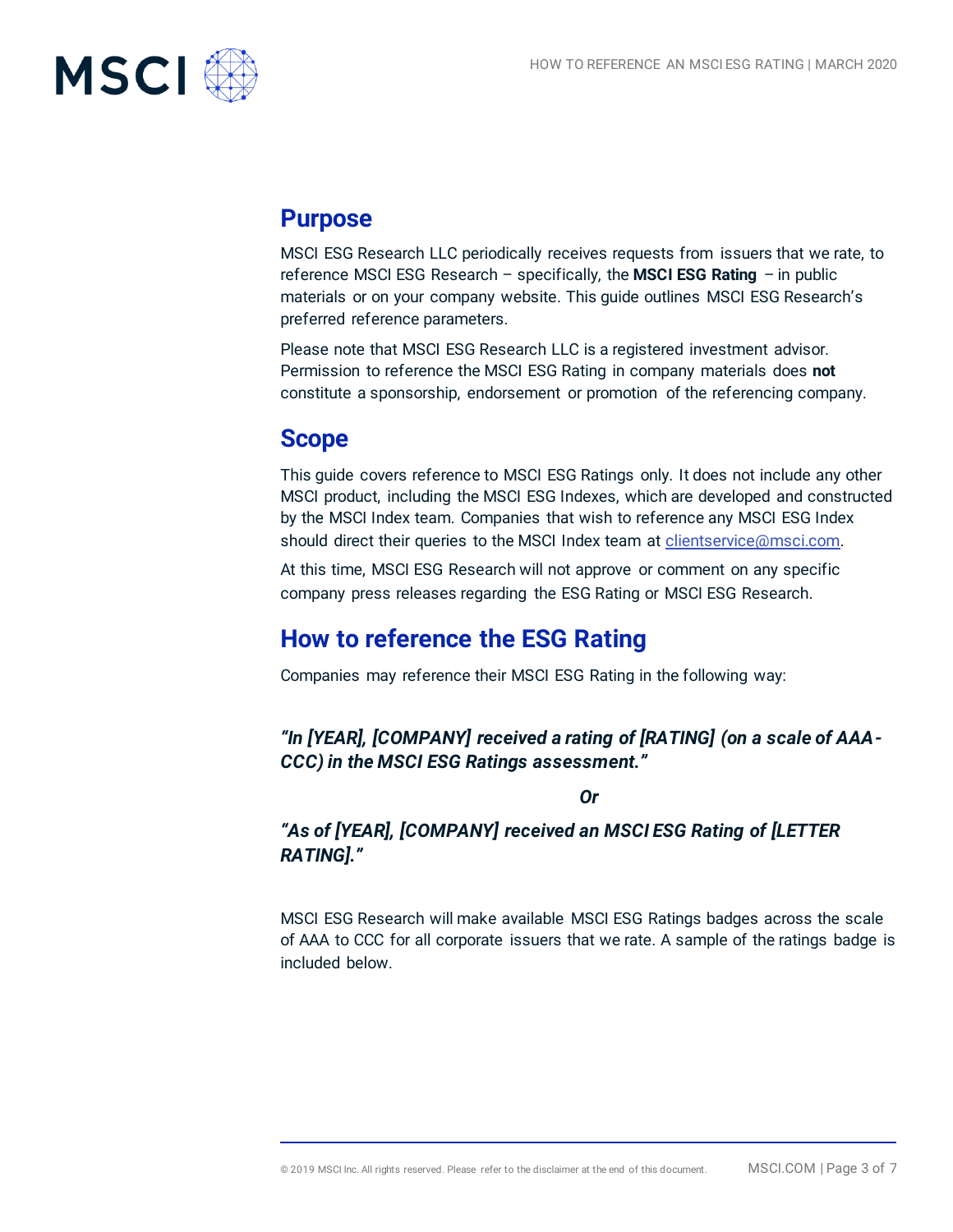

## **Purpose**

MSCI ESG Research LLC periodically receives requests from issuers that we rate, to reference MSCI ESG Research – specifically, the **MSCI ESG Rating** – in public materials or on your company website. This guide outlines MSCI ESG Research's preferred reference parameters.

Please note that MSCI ESG Research LLC is a registered investment advisor. Permission to reference the MSCI ESG Rating in company materials does **not** constitute a sponsorship, endorsement or promotion of the referencing company.

## **Scope**

This guide covers reference to MSCI ESG Ratings only. It does not include any other MSCI product, including the MSCI ESG Indexes, which are developed and constructed by the MSCI Index team. Companies that wish to reference any MSCI ESG Index should direct their queries to the MSCI Index team at *clientservice@msci.com*.

At this time, MSCI ESG Research will not approve or comment on any specific company press releases regarding the ESG Rating or MSCI ESG Research.

## **How to reference the ESG Rating**

Companies may reference their MSCI ESG Rating in the following way:

*"In [YEAR], [COMPANY] received a rating of [RATING] (on a scale of AAA-CCC) in the MSCI ESG Ratings assessment."*

*Or*

## *"As of [YEAR], [COMPANY] received an MSCI ESG Rating of [LETTER RATING]."*

MSCI ESG Research will make available MSCI ESG Ratings badges across the scale of AAA to CCC for all corporate issuers that we rate. A sample of the ratings badge is included below.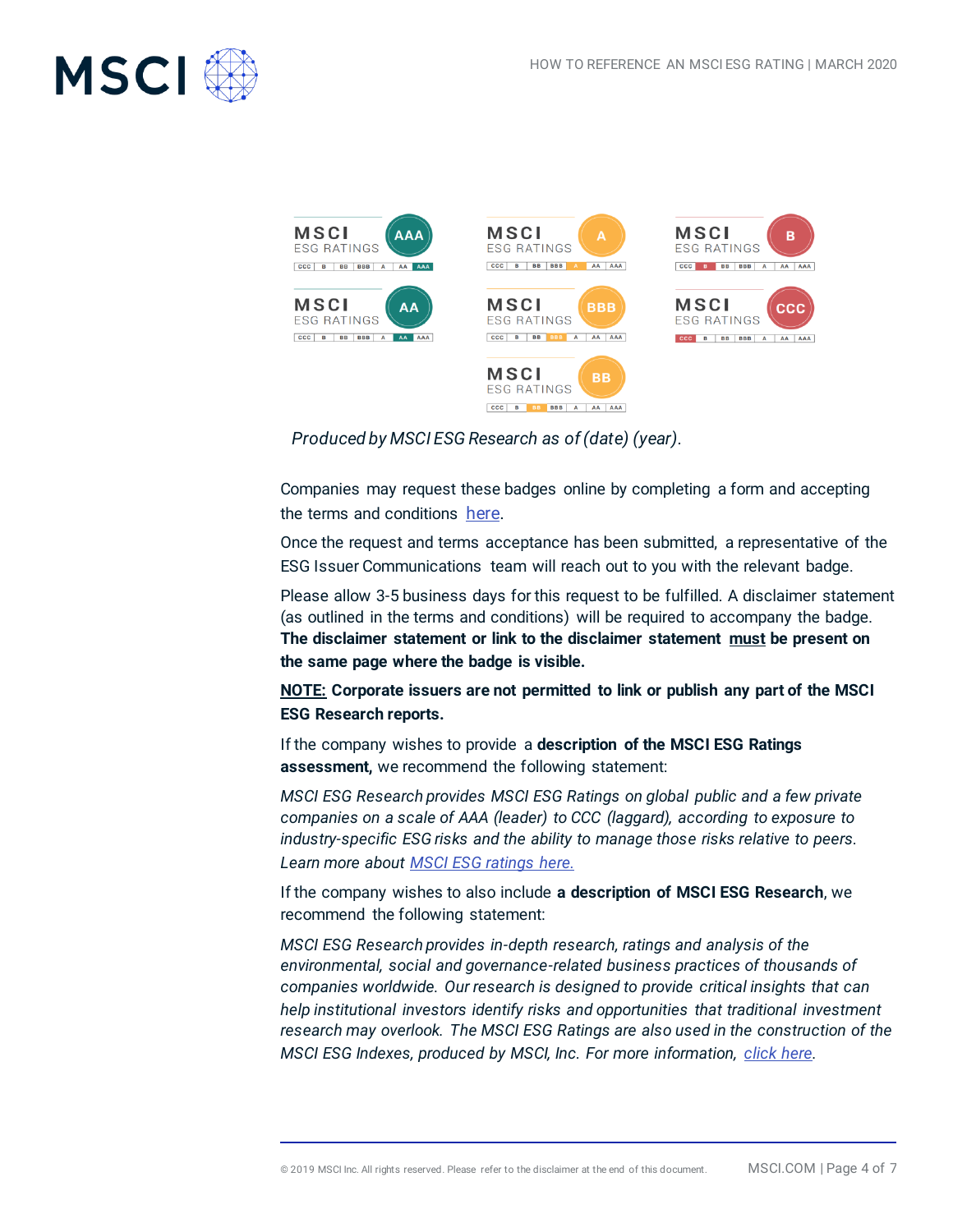











*Produced by MSCI ESG Research as of (date) (year).*

Companies may request these badges online by completing a form and accepting the terms and conditions [here.](https://info.msci.com/l/36252/2019-07-30/ttl7bb)

Once the request and terms acceptance has been submitted, a representative of the ESG Issuer Communications team will reach out to you with the relevant badge.

Please allow 3-5 business days for this request to be fulfilled. A disclaimer statement (as outlined in the terms and conditions) will be required to accompany the badge. **The disclaimer statement or link to the disclaimer statement must be present on the same page where the badge is visible.** 

**NOTE: Corporate issuers are not permitted to link or publish any part of the MSCI ESG Research reports.** 

If the company wishes to provide a **description of the MSCI ESG Ratings assessment,** we recommend the following statement:

*MSCI ESG Research provides MSCI ESG Ratings on global public and a few private companies on a scale of AAA (leader) to CCC (laggard), according to exposure to industry-specific ESG risks and the ability to manage those risks relative to peers. Learn more about [MSCI ESG ratings here.](https://www.msci.com/documents/1296102/1636401/MSCI+ESG+Rating+Brochure-V3.pdf/f2b4a27a-58f5-42c7-880b-cf8201039eaa)*

If the company wishes to also include **a description of MSCI ESG Research**, we recommend the following statement:

*MSCI ESG Research provides in-depth research, ratings and analysis of the environmental, social and governance-related business practices of thousands of companies worldwide. Our research is designed to provide critical insights that can help institutional investors identify risks and opportunities that traditional investment research may overlook. The MSCI ESG Ratings are also used in the construction of the MSCI ESG Indexes, produced by MSCI, Inc. For more information, [click here.](https://www.msci.com/esg-investing)*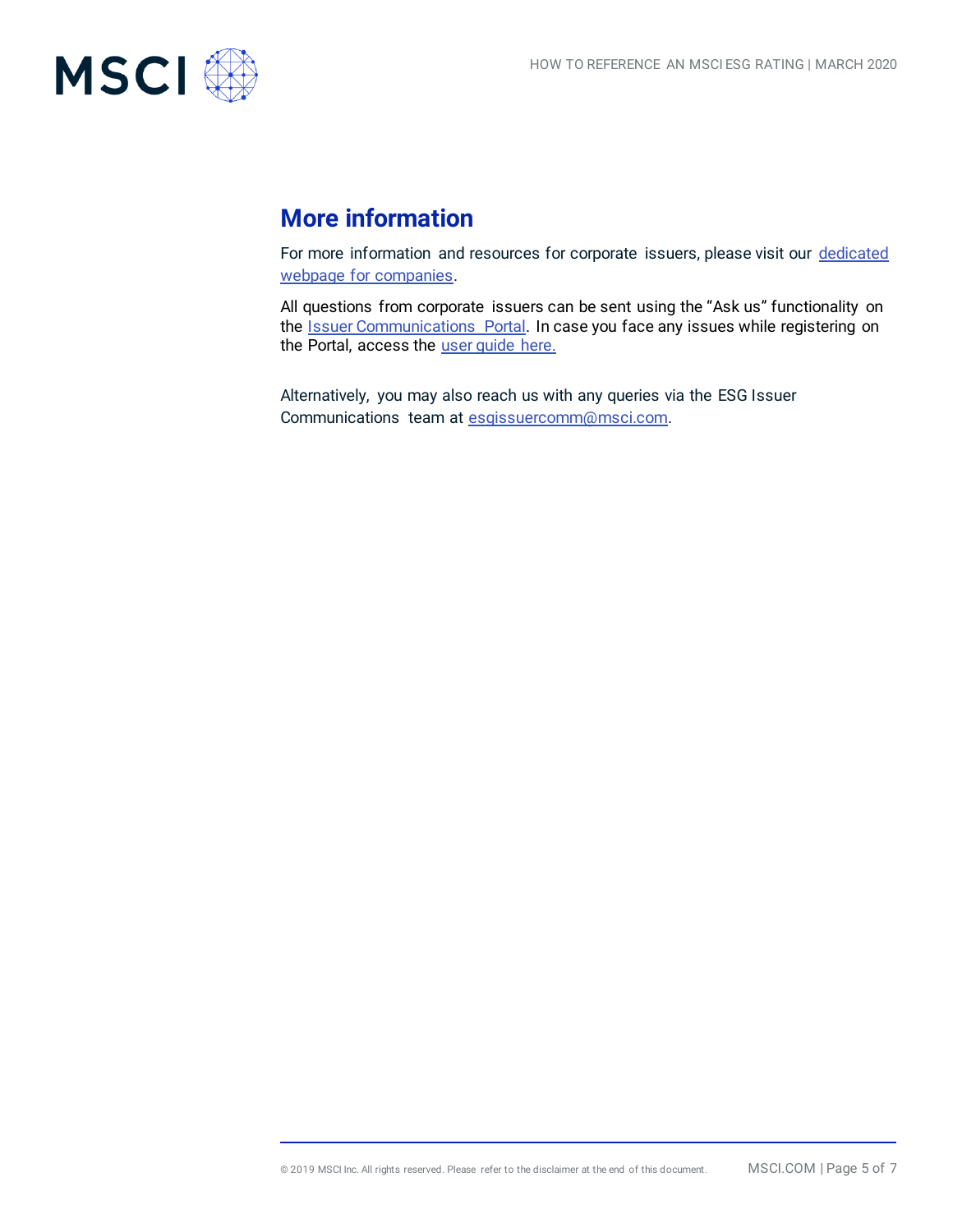

# **More information**

For more information and resources for corporate issuers, please visit our dedicated [webpage for companies.](https://www.msci.com/for-corporate-issuers)

All questions from corporate issuers can be sent using the "Ask us" functionality on the **Issuer Communications** Portal. In case you face any issues while registering on the Portal, access the *user quide here.* 

Alternatively, you may also reach us with any queries via the ESG Issuer Communications team at [esgissuercomm@msci.com.](mailto:esgissuercomm@msci.com)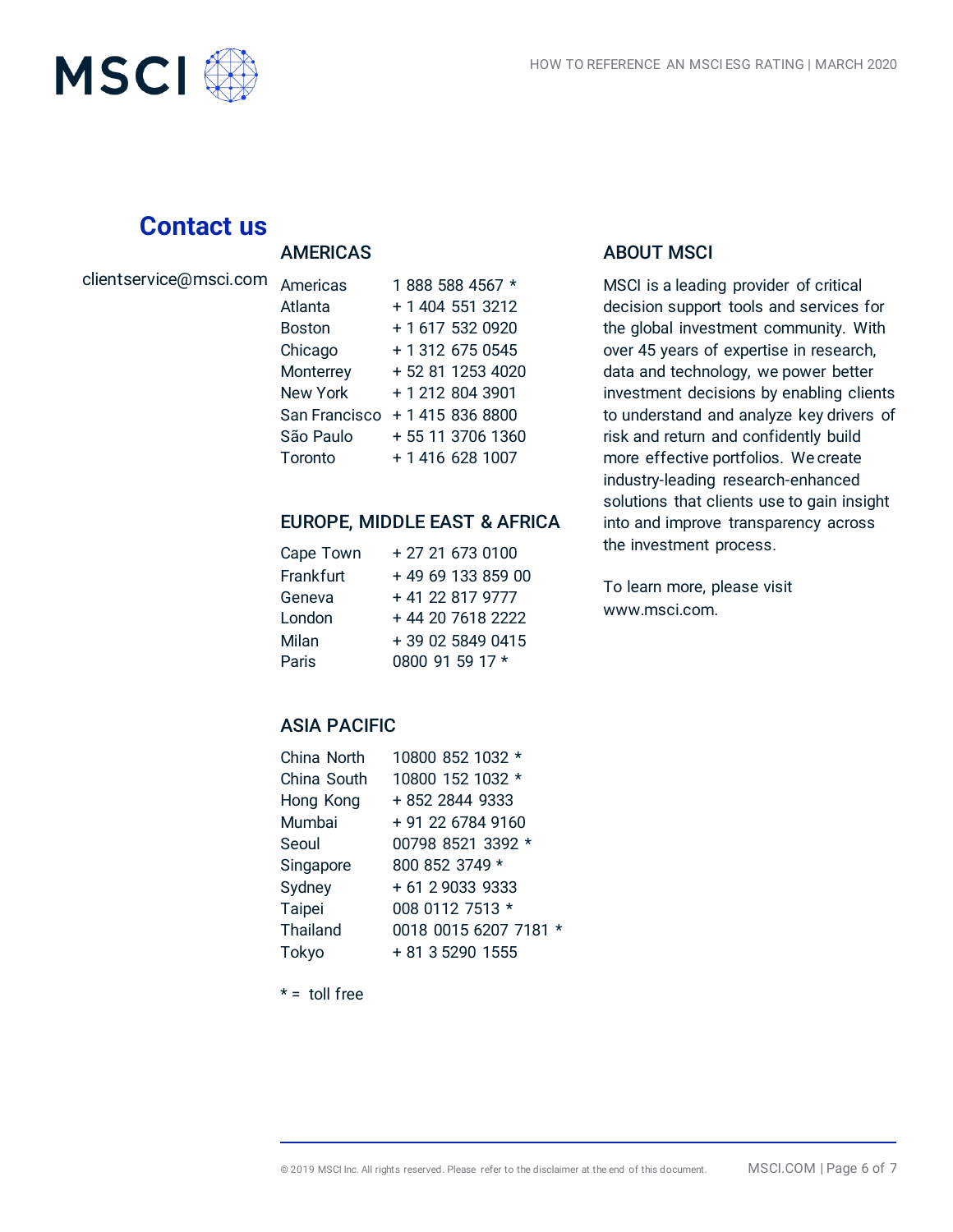

## **Contact us**

#### AMERICAS

| clientservice@msci.com |  |
|------------------------|--|
|                        |  |
|                        |  |

| Americas      | 1888 588 4567 *   |
|---------------|-------------------|
|               |                   |
| Atlanta       | + 1 404 551 3212  |
| <b>Boston</b> | + 1 617 532 0920  |
| Chicago       | + 1 312 675 0545  |
| Monterrey     | + 52 81 1253 4020 |
| New York      | + 1 212 804 3901  |
| San Francisco | + 1 415 836 8800  |
| São Paulo     | + 55 11 3706 1360 |
| Toronto       | + 1 416 628 1007  |

#### EUROPE, MIDDLE EAST & AFRICA

| Cape Town | + 27 21 673 0100  |
|-----------|-------------------|
| Frankfurt | +49 69 133 859 00 |
| Geneva    | +41 22 817 9777   |
| London    | + 44 20 7618 2222 |
| Milan     | + 39 02 5849 0415 |
| Paris     | 0800 91 59 17 *   |

#### ABOUT MSCI

MSCI is a leading provider of critical decision support tools and services for the global investment community. With over 45 years of expertise in research, data and technology, we power better investment decisions by enabling clients to understand and analyze key drivers of risk and return and confidently build more effective portfolios. We create industry-leading research-enhanced solutions that clients use to gain insight into and improve transparency across the investment process.

To learn more, please visit www.msci.com.

## ASIA PACIFIC

| China North | 10800 852 1032 *      |
|-------------|-----------------------|
| China South | 10800 152 1032 *      |
| Hong Kong   | + 852 2844 9333       |
| Mumbai      | + 91 22 6784 9160     |
| Seoul       | 00798 8521 3392 *     |
| Singapore   | 800 852 3749 *        |
| Sydney      | + 61 2 9033 9333      |
| Taipei      | 008 0112 7513 *       |
| Thailand    | 0018 0015 6207 7181 * |
| Tokyo       | + 81 3 5290 1555      |

 $* =$  toll free